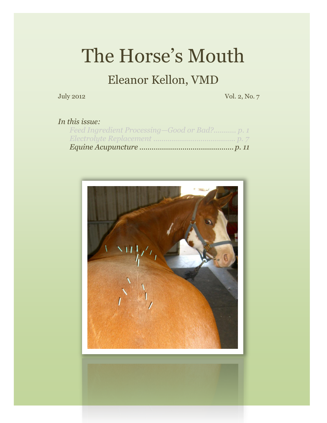# The Horse's Mouth

### Eleanor Kellon, VMD

July 2012 Vol. 2, No. 7

#### *In this issue:*

| Feed Ingredient Processing-Good or Bad? p. 1 |  |
|----------------------------------------------|--|
|                                              |  |
|                                              |  |



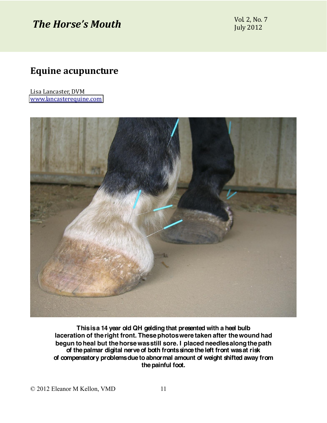## *The Horse's Mouth*  $\frac{\text{Vol } 2, \text{No. 7}}{\text{Vol } 2, \text{O. 2}}$

**July 2012** 

#### **Equine'acupuncture'**

Lisa Lancaster, DVM [www.lancasterequine.com](http://www.lancasterequine.com/)



**This is a 14 year old QH gelding that presented with a heel bulb laceration of the right front. These photos were taken after the wound had begun to heal but the horse was still sore. I placed needles along the path of the palmar digital nerve of both fronts since the left front was at risk of compensatory problems due to abnormal amount of weight shifted away from the painful foot.**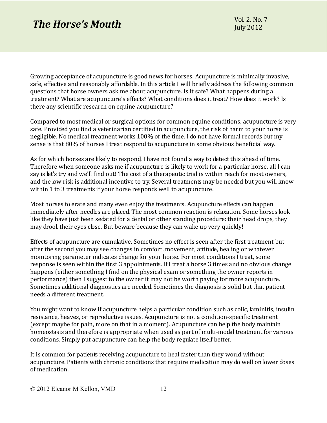### *The Horse's Mouth*  $\frac{\text{Vol } 2, \text{No. 7}}{\text{Vol } 2012}$

Growing acceptance of acupuncture is good news for horses. Acupuncture is minimally invasive, safe, effective and reasonably affordable. In this article I will briefly address the following common questions that horse owners ask me about acupuncture. Is it safe? What happens during a treatment? What are acupuncture's effects? What conditions does it treat? How does it work? Is there any scientific research on equine acupuncture?

Compared to most medical or surgical options for common equine conditions, acupuncture is very safe. Provided you find a veterinarian certified in acupuncture, the risk of harm to your horse is negligible. No medical treatment works 100% of the time. I do not have formal records but my sense is that 80% of horses I treat respond to acupuncture in some obvious beneficial way.

As for which horses are likely to respond, I have not found a way to detect this ahead of time. Therefore when someone asks me if acupuncture is likely to work for a particular horse, all I can say is let's try and we'll find out! The cost of a therapeutic trial is within reach for most owners, and the low risk is additional incentive to try. Several treatments may be needed but you will know within 1 to 3 treatments if your horse responds well to acupuncture.

Most horses tolerate and many even enjoy the treatments. Acupuncture effects can happen immediately after needles are placed. The most common reaction is relaxation. Some horses look like they have just been sedated for a dental or other standing procedure: their head drops, they may drool, their eyes close. But beware because they can wake up very quickly!

Effects of acupuncture are cumulative. Sometimes no effect is seen after the first treatment but after the second you may see changes in comfort, movement, attitude, healing or whatever monitoring parameter indicates change for your horse. For most conditions I treat, some response is seen within the first 3 appointments. If I treat a horse 3 times and no obvious change happens (either something I find on the physical exam or something the owner reports in performance) then I suggest to the owner it may not be worth paying for more acupuncture. Sometimes additional diagnostics are needed. Sometimes the diagnosis is solid but that patient needs a different treatment.

You might want to know if acupuncture helps a particular condition such as colic, laminitis, insulin resistance, heaves, or reproductive issues. Acupuncture is not a condition-specific treatment (except maybe for pain, more on that in a moment). Acupuncture can help the body maintain homeostasis and therefore is appropriate when used as part of multi-modal treatment for various conditions. Simply put acupuncture can help the body regulate itself better.

It is common for patients receiving acupuncture to heal faster than they would without acupuncture. Patients with chronic conditions that require medication may do well on lower doses of medication.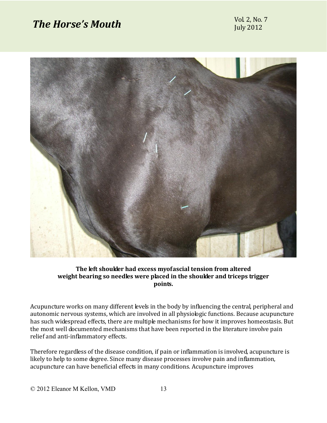# *The Horse's Mouth*  $\frac{\text{Vol } 2, \text{No. 7}}{\text{L}}$



#### The left shoulder had excess myofascial tension from altered **weight'bearing'so'needles'were'placed'in'the'shoulder'and'triceps'trigger' points.**

Acupuncture works on many different levels in the body by influencing the central, peripheral and autonomic nervous systems, which are involved in all physiologic functions. Because acupuncture has such widespread effects, there are multiple mechanisms for how it improves homeostasis. But the most well documented mechanisms that have been reported in the literature involve pain relief and anti-inflammatory effects.

Therefore regardless of the disease condition, if pain or inflammation is involved, acupuncture is likely to help to some degree. Since many disease processes involve pain and inflammation, acupuncture can have beneficial effects in many conditions. Acupuncture improves

© 2012 Eleanor M Kellon, VMD 13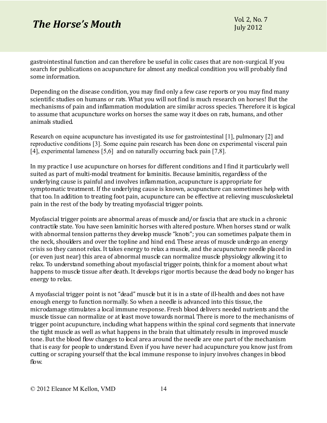### *The Horse's Mouth*  $\frac{\text{Vol } 2, \text{No. 7}}{\text{Vol } 2012}$

gastrointestinal function and can therefore be useful in colic cases that are non-surgical. If you search for publications on acupuncture for almost any medical condition you will probably find some information.

Depending on the disease condition, you may find only a few case reports or you may find many scientific studies on humans or rats. What you will not find is much research on horses! But the mechanisms of pain and inflammation modulation are similar across species. Therefore it is logical to assume that acupuncture works on horses the same way it does on rats, humans, and other animals studied.

Research on equine acupuncture has investigated its use for gastrointestinal [1], pulmonary [2] and reproductive conditions [3]. Some equine pain research has been done on experimental visceral pain [4], experimental lameness [5,6] and on naturally occurring back pain [7,8].

In my practice I use acupuncture on horses for different conditions and I find it particularly well suited as part of multi-modal treatment for laminitis. Because laminitis, regardless of the underlying cause is painful and involves inflammation, acupuncture is appropriate for symptomatic treatment. If the underlying cause is known, acupuncture can sometimes help with that too. In addition to treating foot pain, acupuncture can be effective at relieving musculoskeletal pain in the rest of the body by treating myofascial trigger points.

Myofascial trigger points are abnormal areas of muscle and/or fascia that are stuck in a chronic contractile state. You have seen laminitic horses with altered posture. When horses stand or walk with abnormal tension patterns they develop muscle "knots"; you can sometimes palpate them in the neck, shoulders and over the topline and hind end. These areas of muscle undergo an energy crisis so they cannot relax. It takes energy to relax a muscle, and the acupuncture needle placed in (or even just near) this area of abnormal muscle can normalize muscle physiology allowing it to relax. To understand something about myofascial trigger points, think for a moment about what happens to muscle tissue after death. It develops rigor mortis because the dead body no longer has energy to relax.

A myofascial trigger point is not "dead" muscle but it is in a state of ill-health and does not have enough energy to function normally. So when a needle is advanced into this tissue, the microdamage stimulates a local immune response. Fresh blood delivers needed nutrients and the muscle tissue can normalize or at least move towards normal. There is more to the mechanisms of trigger point acupuncture, including what happens within the spinal cord segments that innervate the tight muscle as well as what happens in the brain that ultimately results in improved muscle tone. But the blood flow changes to local area around the needle are one part of the mechanism that is easy for people to understand. Even if you have never had acupuncture you know just from cutting or scraping yourself that the local immune response to injury involves changes in blood flow.